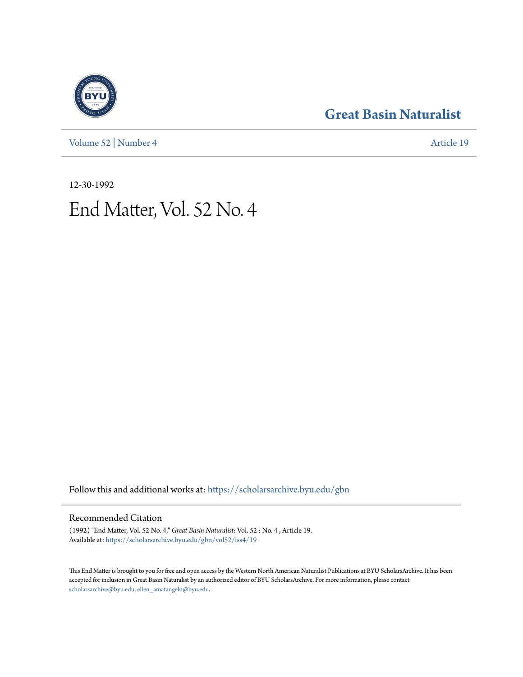[Volume 52](https://scholarsarchive.byu.edu/gbn/vol52?utm_source=scholarsarchive.byu.edu%2Fgbn%2Fvol52%2Fiss4%2F19&utm_medium=PDF&utm_campaign=PDFCoverPages) | [Number 4](https://scholarsarchive.byu.edu/gbn/vol52/iss4?utm_source=scholarsarchive.byu.edu%2Fgbn%2Fvol52%2Fiss4%2F19&utm_medium=PDF&utm_campaign=PDFCoverPages) [Article 19](https://scholarsarchive.byu.edu/gbn/vol52/iss4/19?utm_source=scholarsarchive.byu.edu%2Fgbn%2Fvol52%2Fiss4%2F19&utm_medium=PDF&utm_campaign=PDFCoverPages)

### **[Great Basin Naturalist](https://scholarsarchive.byu.edu/gbn?utm_source=scholarsarchive.byu.edu%2Fgbn%2Fvol52%2Fiss4%2F19&utm_medium=PDF&utm_campaign=PDFCoverPages)**

12-30-1992

# End Matter, Vol. 52 No. 4

Follow this and additional works at: [https://scholarsarchive.byu.edu/gbn](https://scholarsarchive.byu.edu/gbn?utm_source=scholarsarchive.byu.edu%2Fgbn%2Fvol52%2Fiss4%2F19&utm_medium=PDF&utm_campaign=PDFCoverPages)

#### Recommended Citation

(1992) "End Matter, Vol. 52 No. 4," *Great Basin Naturalist*: Vol. 52 : No. 4 , Article 19. Available at: [https://scholarsarchive.byu.edu/gbn/vol52/iss4/19](https://scholarsarchive.byu.edu/gbn/vol52/iss4/19?utm_source=scholarsarchive.byu.edu%2Fgbn%2Fvol52%2Fiss4%2F19&utm_medium=PDF&utm_campaign=PDFCoverPages)

This End Matter is brought to you for free and open access by the Western North American Naturalist Publications at BYU ScholarsArchive. It has been accepted for inclusion in Great Basin Naturalist by an authorized editor of BYU ScholarsArchive. For more information, please contact [scholarsarchive@byu.edu, ellen\\_amatangelo@byu.edu.](mailto:scholarsarchive@byu.edu,%20ellen_amatangelo@byu.edu)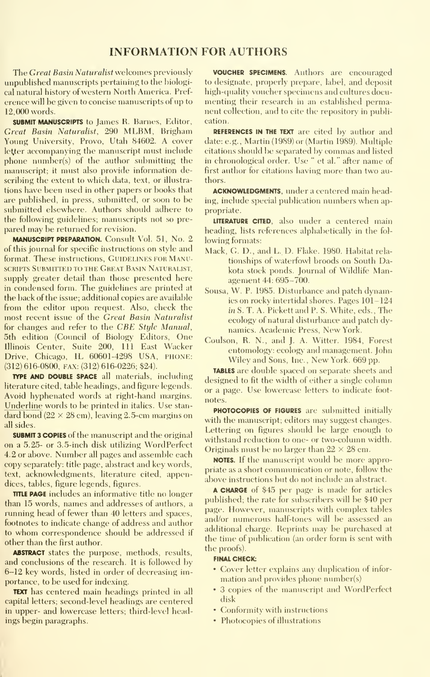#### INFORMATION FOR AUTHORS

The Great Basin Naturalist welcomes previously unpublished manuscripts pertaining to the biological natural history of western North America. Pref erence will be given to concise manuscripts of up to 12,000 words.

SUBMIT MANUSCRIPTS to James R. Barnes, Editor, Great Basin Naturalist, 290 MLBM, Brigham Young University, Provo, Utah 84602. A cover letter accompanying the manuscript must include phone number(s) of the author submitting the manuscript; it must also provide information describing the extent to which data, text, or illustrations have been used in other papers or books that are published, in press, submitted, or soon to be submitted elsewhere. Authors should adhere to the following guidelines; manuscripts not so pre pared may be returned for revision.

MANUSCRIPT PREPARATION. Consult Vol. 51, No. 2 of this journal for specific instructions on style and format. These instructions, GUIDELINES FOR MANUscripts Submitted to the Great Basin Naturalist, supply greater detail than those presented here in condensed form. The guidelines are printed at the back of the issue; additional copies are available from the editor upon request. Also, check the most recent issue of the Great Basin Naturalist for changes and refer to the CBE Style Manual, 5th edition (Council of Biology Editors, One Illinois Center, Suite 200, 111 East Wacker Drive, Chicago, IL 60601-4298 USA, PHONE: (312) 616-0800, FAX: (312) 616-0226; \$24).

TYPE AND DOUBLE SPACE all materials, including literature cited, table headings, and figure legends. Avoid hyphenated words at right-hand margins. Underline words to be printed in italics. Use stan dard bond  $(22 \times 28$  cm), leaving 2.5-cm margins on all sides.

SUBMIT 3 COPIES of the manuscript and the original on a 5.25- or 3.5-inch disk utilizing WordPerfect 4.2 or above. Number all pages and assemble each copy separately: title page, abstract and key words, text, acknowledgments, literature cited, appendices, tables, figure legends, figures.

TITIE PAGE includes an informative title no longer than 15 words, names and addresses of authors, a running head of fewer than 40 letters and spaces, footnotes to indicate change of address and author to whom correspondence should be addressed if other than the first author.

ABSTRACT states the purpose, methods, results, and conclusions of the research. It is followed by 6-12 key words, listed in order of decreasing importance, to be used for indexing.

TEXT has centered main headings printed in all capital letters; second-level headings are centered in upper- and lowercase letters; third-level headings begin paragraphs.

VOUCHER SPECIMENS. Authors are encouraged to designate, properly prepare, label, and deposit high-quality voucher specimens and cultures documenting their research in an established permanent collection, and to cite the repository in publication.

REFERENCES IN THE TEXT are cited by author and date: e.g., Martin (1989) or (Martin 1989). Multiple citations should be separated by commas and listed in chronological order. Use " et al." after name of first author for citations having more than two authors.

ACKNOWLEDGMENTS, under a centered main heading, include special publication numbers when appropriate.

LITERATURE CITED, also under a centered main heading, lists references alphabetically in the fol lowing formats:

- Mack, G. D., and L. D. Flake. 1980. Habitat rela tionships of waterfowl broods on South Dakota stock ponds. Journal of Wildlife Management 44: 695-700.
- Sousa, W. P. 1985. Disturbance and patch dynamics on rocky intertidal shores. Pages 101-124 in S. T. A. Pickett and P. S. White, eds., The ecology of natural disturbance and patch dy namics. Academic Press, New York.
- Coulson, R. N., and J. A. Witter. 1984, Forest entomolog)': ecology and management. John Wiley and Sons, Inc., New York. 669 pp.

TABLES are double spaced on separate sheets and designed to fit the width of either a single column or a page. Use lowercase letters to indicate foot notes.

PHOTOCOPIES OF FIGURES are submitted initially with the manuscript; editors may suggest changes. Lettering on figures should be large enough to withstand reduction to one- or two-column width. Originals must be no larger than  $22 \times 28$  cm.

NOTES. If the manuscript would be more appropriate as a short communication or note, follow the above instructions but do not include an abstract.

A CHARGE of \$45 per page is made for articles published; the rate for subscribers will be \$40 per page. However, manuscripts with complex tables and/or numerous half-tones will be assessed an additional charge. Reprints may be purchased at the time of publication (an order form is sent with the proofs).

#### FINAL CHECK:

- Cover letter explains any duplication of infor mation and provides phone number(s)
- 3 copies of the manuscript and WordPerfect disk
- Conformity with instructions
- Photocopies of illustrations